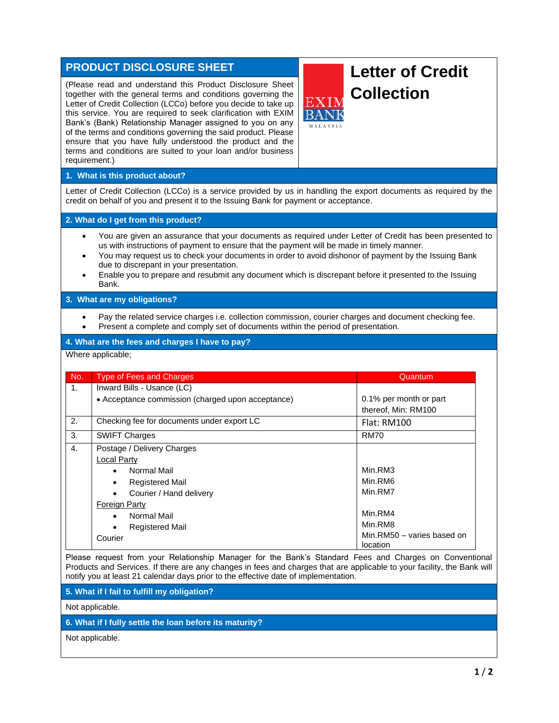# **PRODUCT DISCLOSURE SHEET**

(Please read and understand this Product Disclosure Sheet together with the general terms and conditions governing the Letter of Credit Collection (LCCo) before you decide to take up this service. You are required to seek clarification with EXIM Bank's (Bank) Relationship Manager assigned to you on any of the terms and conditions governing the said product. Please ensure that you have fully understood the product and the terms and conditions are suited to your loan and/or business requirement.)

# **Letter of Credit Collection**

### **1. What is this product about?**

Letter of Credit Collection (LCCo) is a service provided by us in handling the export documents as required by the credit on behalf of you and present it to the Issuing Bank for payment or acceptance.

#### **2. What do I get from this product?**

- You are given an assurance that your documents as required under Letter of Credit has been presented to us with instructions of payment to ensure that the payment will be made in timely manner.
- You may request us to check your documents in order to avoid dishonor of payment by the Issuing Bank due to discrepant in your presentation.
- Enable you to prepare and resubmit any document which is discrepant before it presented to the Issuing Bank.

#### **3. What are my obligations?**

- Pay the related service charges i.e. collection commission, courier charges and document checking fee.
- Present a complete and comply set of documents within the period of presentation.

## **4. What are the fees and charges I have to pay?**

Where applicable;

| No.            | <b>Type of Fees and Charges</b>                   | Quantum                                       |
|----------------|---------------------------------------------------|-----------------------------------------------|
| 1.             | Inward Bills - Usance (LC)                        |                                               |
|                | • Acceptance commission (charged upon acceptance) | 0.1% per month or part<br>thereof, Min: RM100 |
| 2.             | Checking fee for documents under export LC        | Flat: RM100                                   |
| 3.             | <b>SWIFT Charges</b>                              | <b>RM70</b>                                   |
| $\mathbf{4}$ . | Postage / Delivery Charges                        |                                               |
|                | Local Party                                       |                                               |
|                | Normal Mail<br>$\bullet$                          | Min.RM3                                       |
|                | <b>Registered Mail</b>                            | Min.RM6                                       |
|                | Courier / Hand delivery                           | Min.RM7                                       |
|                | Foreign Party                                     |                                               |
|                | Normal Mail<br>$\bullet$                          | Min.RM4                                       |
|                | <b>Registered Mail</b>                            | Min.RM8                                       |
|                | Courier                                           | Min.RM50 - varies based on<br>location        |

Please request from your Relationship Manager for the Bank's Standard Fees and Charges on Conventional Products and Services. If there are any changes in fees and charges that are applicable to your facility, the Bank will notify you at least 21 calendar days prior to the effective date of implementation.

**5. What if I fail to fulfill my obligation?**

Not applicable.

# **6. What if I fully settle the loan before its maturity?**

Not applicable.